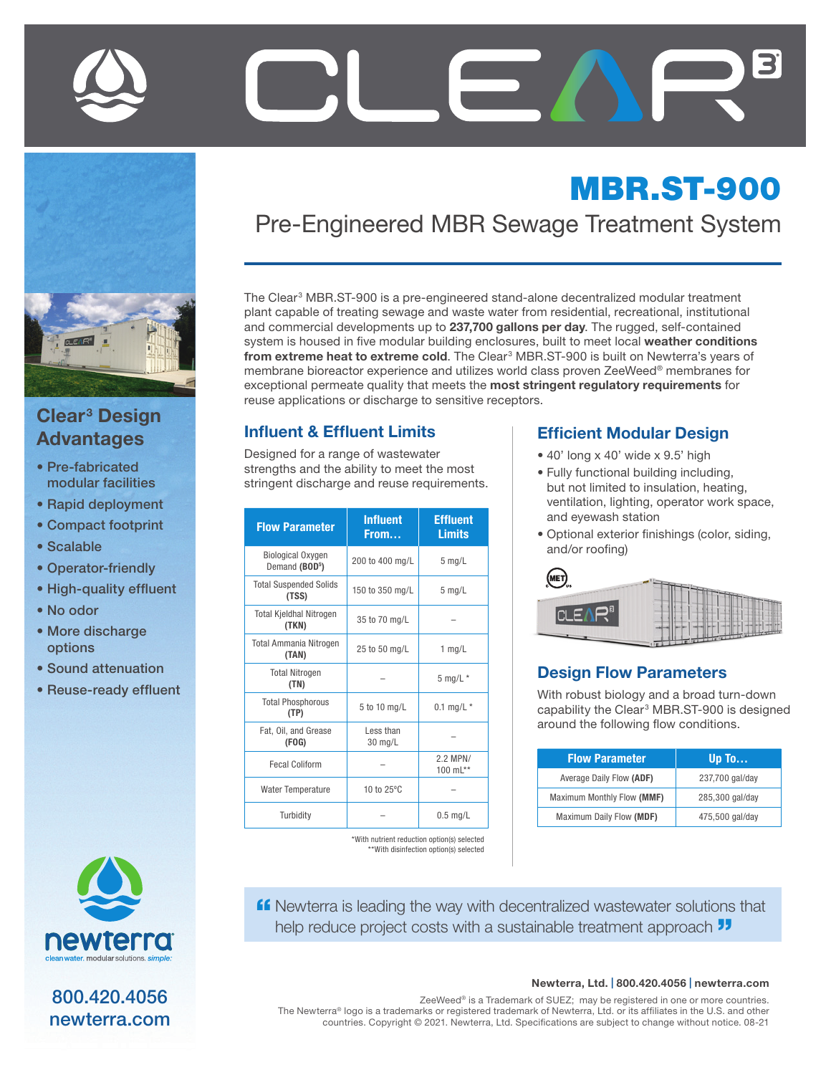

## Clear<sup>3</sup> Design Advantages

- Pre-fabricated modular facilities
- Rapid deployment
- Compact footprint
- Scalable
- Operator-friendly
- High-quality effluent
- No odor
- More discharge options
- Sound attenuation
- Reuse-ready effluent



800.420.4056 newterra.com

# MBR.ST-900 Pre-Engineered MBR Sewage Treatment System

The Clear<sup>3</sup> MBR.ST-900 is a pre-engineered stand-alone decentralized modular treatment plant capable of treating sewage and waste water from residential, recreational, institutional and commercial developments up to 237,700 gallons per day. The rugged, self-contained system is housed in five modular building enclosures, built to meet local weather conditions from extreme heat to extreme cold. The Clear<sup>3</sup> MBR.ST-900 is built on Newterra's years of membrane bioreactor experience and utilizes world class proven ZeeWeed® membranes for exceptional permeate quality that meets the most stringent regulatory requirements for reuse applications or discharge to sensitive receptors.

#### Influent & Effluent Limits

Designed for a range of wastewater strengths and the ability to meet the most stringent discharge and reuse requirements.

| <b>Flow Parameter</b>                                  | <b>Influent</b><br>From | <b>Effluent</b><br><b>Limits</b> |
|--------------------------------------------------------|-------------------------|----------------------------------|
| <b>Biological Oxygen</b><br>Demand (BOD <sup>5</sup> ) | 200 to 400 mg/L         | $5$ mg/L                         |
| <b>Total Suspended Solids</b><br>(TSS)                 | 150 to 350 mg/L         | $5$ mg/L                         |
| <b>Total Kjeldhal Nitrogen</b><br>(TKN)                | 35 to 70 mg/L           |                                  |
| <b>Total Ammania Nitrogen</b><br>(TAN)                 | 25 to 50 mg/L           | $1$ mg/L                         |
| <b>Total Nitrogen</b><br>(TN)                          |                         | $5$ mg/L $*$                     |
| <b>Total Phosphorous</b><br>(TP)                       | 5 to 10 mg/L            | 0.1 mg/L $*$                     |
| Fat, Oil, and Grease<br>(FOG)                          | Less than<br>30 mg/L    |                                  |
| <b>Fecal Coliform</b>                                  |                         | 2.2 MPN/<br>100 $mL**$           |
| <b>Water Temperature</b>                               | 10 to 25°C              |                                  |
| Turbidity                                              |                         | $0.5$ mg/L                       |

\*With nutrient reduction option(s) selected \*\*With disinfection option(s) selected

#### Efficient Modular Design

- 40' long x 40' wide x 9.5' high
- Fully functional building including, but not limited to insulation, heating, ventilation, lighting, operator work space, and eyewash station
- Optional exterior finishings (color, siding, and/or roofing)

| <b>MET</b> <sub>us</sub><br>NAME OF TAXABLE PARTIES. |   |
|------------------------------------------------------|---|
| П<br>$\Box$<br>л                                     |   |
|                                                      | - |

#### Design Flow Parameters

With robust biology and a broad turn-down capability the Clear<sup>3</sup> MBR.ST-900 is designed around the following flow conditions.

| <b>Flow Parameter</b>      | Up To           |
|----------------------------|-----------------|
| Average Daily Flow (ADF)   | 237,700 gal/day |
| Maximum Monthly Flow (MMF) | 285,300 gal/day |
| Maximum Daily Flow (MDF)   | 475,500 gal/day |

**ff** Newterra is leading the way with decentralized wastewater solutions that help reduce project costs with a sustainable treatment approach  $\overline{\mathbf{J}}$ 

#### Newterra, Ltd. | 800.420.4056 | newterra.com

ZeeWeed® is a Trademark of SUEZ; may be registered in one or more countries. The Newterra® logo is a trademarks or registered trademark of Newterra, Ltd. or its affiliates in the U.S. and other countries. Copyright © 2021. Newterra, Ltd. Specifications are subject to change without notice. 08-21